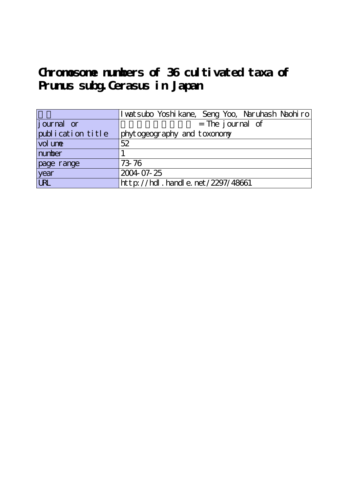# **Chromosome numbers of 36 cultivated taxa of Prunus subg.Cerasus in Japan**

|                    | I wat subo Yoshi kane, Seng Yoo, Naruhash Naohi ro |
|--------------------|----------------------------------------------------|
| <i>j</i> ournal or | $=$ The journal of                                 |
| publication title  | phytogeography and toxonomy                        |
| vol une            | 52                                                 |
| number             |                                                    |
| page range         | 73.76                                              |
| year               | 2004 07-25                                         |
| <b>URL</b>         | $http$ : //hdl. handle. net /2297/48661            |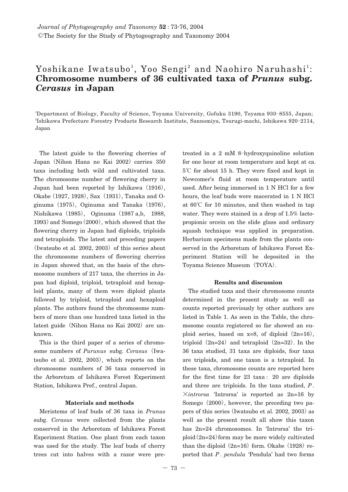## Yoshikane Iwatsubo<sup>1</sup>, Yoo Sengi<sup>2</sup> and Naohiro Naruhashi<sup>1</sup>: **Chromosome numbers of 36 cultivated taxa of** *Prunus* **subg.** *Cerasus* **in Japan**

1 Department of Biology, Faculty of Science, Toyama University, Gofuku 3190, Toyama 930**―**8555, Japan; 2 Ishikawa Prefecture Forestry Products Research Institute, Sannomiya, Tsurugi-machi, Ishikawa 920**―**2114, Japan

The latest guide to the flowering cherries of Japan**(**Nihon Hana no Kai 2002**)**carries 350 taxa including both wild and cultivated taxa. The chromosome number of flowering cherry in Japan had been reported by Ishikawa**(**1916**)**, Okabe**(**1927, 1928**)**, Sax**(**1931**)**, Tanaka and Oginuma**(**1975**)**, Oginuma and Tanaka**(**1976**)**, Nishikawa**(**1985**)**, Oginuma**(**1987 a,b, 1988, 1993**)**and Somego**(**2000**)**, which showed that the flowering cherry in Japan had diploids, triploids and tetraploids. The latest and preceding papers **(**Iwatsubo et al. 2002, 2003**)**of this series about the chromosome numbers of flowering cherries in Japan showed that, on the basis of the chromosome numbers of 217 taxa, the cherries in Japan had diploid, triploid, tetraploid and hexaploid plants, many of them were diploid plants followed by triploid, tetraploid and hexaploid plants. The authors found the chromosome numbers of more than one hundred taxa listed in the latest guide**(**Nihon Hana no Kai 2002**)**are unknown.

This is the third paper of a series of chromosome numbers of *Purunus* subg. *Cerasus***(**Iwatsubo et al. 2002, 2003**)**, which reports on the chromosome numbers of 36 taxa conserved in the Arboretum of Ishikawa Forest Experiment Station, Ishikawa Pref., central Japan.

#### **Materials and methods**

Meristems of leaf buds of 36 taxa in *Prunus* subg. *Cerasus* were collected from the plants conserved in the Arboretum of Ishikawa Forest Experiment Station. One plant from each taxon was used for the study. The leaf buds of cherry trees cut into halves with a razor were pretreated in a 2 mM 8**―**hydroxyquinoline solution for one hour at room temperature and kept at ca. 5**℃** for about 15 h. They were fixed and kept in Newcomer's fluid at room temperature until used. After being immersed in 1 N HCl for a few hours, the leaf buds were macerated in 1 N HCl at 60**℃** for 10 minutes, and then washed in tap water. They were stained in a drop of 1.5% lactopropionic orcein on the slide glass and ordinary squash technique was applied in preparation. Herbarium specimens made from the plants conserved in the Arboretum of Ishikawa Forest Experiment Station will be deposited in the Toyama Science Museum**(**TOYA**)**.

#### **Results and discussion**

The studied taxa and their chromosome counts determined in the present study as well as counts reported previously by other authors are listed in Table 1. As seen in the Table, the chromosome counts registered so far showed an euploid series, based on  $x=8$ , of diploid  $(2n=16)$ , triploid  $(2n=24)$  and tetraploid  $(2n=32)$ . In the 36 taxa studied, 31 taxa are diploids, four taxa are triploids, and one taxon is a tetraploid. In these taxa, chromosome counts are reported here for the first time for 23 taxa : 20 are diploids and three are triploids. In the taxa studied, *P*. **×***introrsa* 'Introrsa' is reported as 2n=16 by Somego**(**2000**)**, however, the preceding two papers of this series**(**Iwatsubo et al. 2002, 2003**)**as well as the present result all show this taxon has 2n=24 chromosomes. In 'Introrsa' the triploid**(**2n=24**)**form may be more widely cultivated than the diploid  $(2n=16)$  form. Okabe  $(1928)$  reported that *P*. *pendula* 'Pendula' had two forms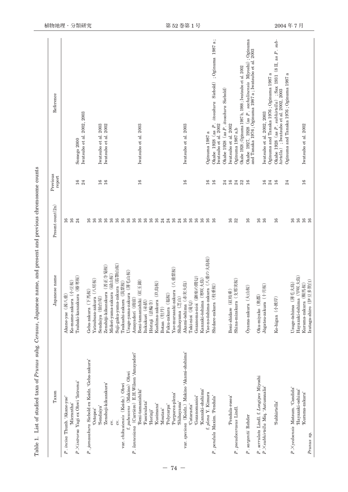| Taxon                                           | Japanese name                        | Present count (2n)                      | Previous<br>report | Reference                                                                                                        |
|-------------------------------------------------|--------------------------------------|-----------------------------------------|--------------------|------------------------------------------------------------------------------------------------------------------|
| P. incisa Thunb. 'Akane-yae'                    | Akane-yae (茜八重)                      | $^{16}$                                 |                    |                                                                                                                  |
| 'Micrantha'                                     | Ko-mame-zakura (小豆桜)                 | $\frac{16}{2}$                          |                    |                                                                                                                  |
| P.Xintrorsa Yagi ex Ohwi 'Introrsa'             | Tsubaki-kanzakura (椿寒桜)              | 24                                      | $^{16}$            | Somego 2000                                                                                                      |
|                                                 |                                      |                                         | $_{24}$            | Iwatsubo et al. 2002, 2003                                                                                       |
| P., jamasakura Siebold ex Koidz. 'Geba-zakura'  | Geba-zakura (下馬桜)                    | $\frac{8}{16}$                          |                    |                                                                                                                  |
| 'Octopes'                                       | Yatsubusa-zakura (八房桜)               | $\frac{6}{16}$                          |                    |                                                                                                                  |
| 'Sendaiya'                                      | Sendaiya (仙台屋)                       | $\frac{6}{2}$                           | $\frac{6}{2}$      | Iwatsubo et al. 2003                                                                                             |
| 'Zenshoji-kikuzakura'                           | Zenshōji-kikuzakura (菩正寺菊桜)          | 16                                      | $16\,$             | Iwatsubo et al. 2002                                                                                             |
| $\infty$ .                                      | Midori-yama-zakura (緑山桜)             | $\frac{6}{16}$                          |                    |                                                                                                                  |
| CV.                                             | Suji-gaku-yama-zakura (筋顎山桜)         | $\tilde{a}$                             |                    |                                                                                                                  |
| var. chikusiensis (Koidz.) Ohwi                 | Tsukushi-zakura (筑紫桜)                | 16                                      |                    |                                                                                                                  |
| f. pubescens (Makino) Ohwi                      | Usuge-yama-zakura (薄毛山桜)             | 16                                      |                    |                                                                                                                  |
| P. lannesiana (Carrière) E.H.Wilson 'Amayadori' | Amayadori (雨宿)                       | 16                                      |                    |                                                                                                                  |
| 'Beni-tamanishiki'                              | Beni-tamanishiki (紅玉錦)               | $\frac{1}{6}$                           | $\frac{6}{2}$      | Iwatsubo et al. 2003                                                                                             |
| 'Fasciculata'                                   | Itokukuri (糸括)                       | $\frac{6}{2}$                           |                    |                                                                                                                  |
| 'Horinji'                                       | Hōrinji (法輪寺)                        |                                         |                    |                                                                                                                  |
| 'Kusimana'                                      | Kushima-zakura (玖島桜)                 | 16                                      |                    |                                                                                                                  |
| 'Moutan'                                        | Botan (牡丹)                           | $\mathbb{Z}^4$                          |                    |                                                                                                                  |
| 'Polycarpa'                                     | Fuku-zakura (福桜)                     | 24                                      |                    |                                                                                                                  |
| 'Purpurea-plena'                                | Yae-murasaki-zakura (八重紫桜)           | $\frac{6}{2}$                           |                    |                                                                                                                  |
| 'Shibayama'                                     | Shibayama (芝山)                       | $^{24}$                                 |                    |                                                                                                                  |
| var. speciosa (Koidz.) Makino 'Akami-ohshima'   | Akami-ōshima (赤実大島)                  | $\overline{16}$                         | $^{16}$            | Iwatsubo et al. 2003                                                                                             |
| 'Cataracta'                                     | Taki-nioi (滝句)                       | 16                                      |                    |                                                                                                                  |
| 'Gozanomanioi'                                  | Gozanoma-nioi (御座の間匂)                | 98                                      |                    |                                                                                                                  |
| 'Kanzaki-ohshima'                               | Kanzaki-ōshima (寒咲大島                 |                                         |                    |                                                                                                                  |
| f. plena Y. Kimura                              | Yae-no-ōshima-zakura (八重の大島桜)        | $\mathfrak{g}$                          | $\frac{6}{2}$      | Oginuma 1987 a                                                                                                   |
| P. pendula Maxim. Pendula'                      | Shidare-zakura (枝垂桜)                 | 16                                      | 16                 | Okabe 1928 (as $P.$ itosakura Siebold) ;<br>Oginuma 1987 a<br>Iwatsubo et al. 2002                               |
|                                                 |                                      |                                         |                    |                                                                                                                  |
|                                                 |                                      |                                         | $^{24}$            | Okabe 1928 (as P. itosakura Siebold)                                                                             |
| 'Pendula-rosea'                                 | Beni-shidare (紅枝垂)                   | 16                                      | $\overline{16}$    | [watsubo et al. 2002                                                                                             |
| P. pseudocerasus Lindl                          | Shina-mizakura (支那実桜)                | 32                                      | 33.56              | Oginuma 1987 a,b                                                                                                 |
|                                                 |                                      |                                         |                    | Okabe 1928; Oginuma 1987 b, 1988; Iwatsubo et al. 2002                                                           |
| P. sargentii Rehder                             | Ōyama-zakura (大山桜)                   | 16                                      |                    | Okabe 1927, 1928 (as P. sachalinensis Miyoshi); Oginuma<br>and Tanaka 1976; Oginuma 1987 a; Iwatsubo et al. 2003 |
| P. serrulata Lindl. f. Longipes Miyoshi         | Oku-miyako (奥都)                      | 16                                      |                    |                                                                                                                  |
| $P$ . $\times$ subhirtella Miq. 'Autumnalis'    | Jūgatsu-zakura $(+$ $\exists$ $\&$ ) | 16                                      | 16                 | Iwatsubo et al. 2002, 2003                                                                                       |
|                                                 |                                      |                                         | $^{24}$            | Oginuma and Tanaka 1976; Oginuma 1987 a                                                                          |
| Subhirtella <sup>3</sup>                        | Ko-higan (小彼岸)                       | $\frac{16}{2}$                          | 16                 | Okabe 1928 (as P. subhirtella) ; Sax 1931 (8II, as P. sub-<br>hirtella) ; Iwatsubo et al. 2002, 2003             |
|                                                 |                                      |                                         | 24                 | Oginuma and Tanaka 1976; Oginuma 1987 a                                                                          |
| P.Xyedoensis Matsum. 'Candida'                  | Usuge-ōshima (薄毛大島)                  | $^{16}$                                 |                    |                                                                                                                  |
| 'Hayazaki-oshima'                               | Hayazaki-ōshima (早咲大島)               | $\overline{16}$                         |                    |                                                                                                                  |
| 'Kurama-zakura'                                 | Kurama-zakura (鞍馬桜)                  | $\begin{array}{c} 16 \\ 16 \end{array}$ | 16                 | Iwatsubo et al. 2002                                                                                             |
| Prunus sp.                                      | Izutaga-shiro (伊豆多賀白)                |                                         |                    |                                                                                                                  |

Table 1. List of studied taxa of Prunus subg. Cerasus, Japanese name, and present and previous chromosome counts Table 1. List of studied taxa of *Prunus* subg. *Cerasus*, Japanese name, and present and previous chromosome counts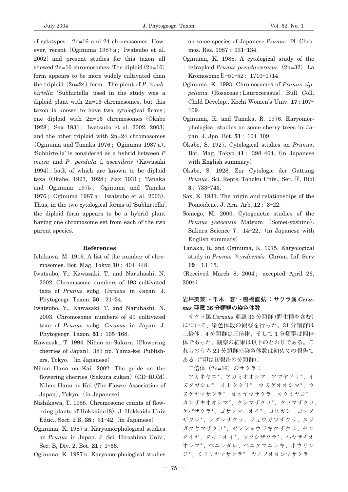of cytotypes : 2n=16 and 24 chromosomes. However, recent**(**Oginuma 1987 a ; Iwatsubo et al. 2002**)**and present studies for this taxon all showed 2n=16 chromosomes. The diploid**(**2n=16**)** form appears to be more widely cultivated than the triploid  $(2n=24)$  form. The plant of *P*. $\times$ *subhirtella* 'Subhirtella' used in the study was a diploid plant with 2n=16 chromosomes, but this taxon is known to have two cytological forms ; one diploid with 2n=16 chromosomes**(**Okabe 1928 ; Sax 1931 ; Iwatsubo et al. 2002, 2003**)** and the other triploid with 2n=24 chromosomes **(**Oginuma and Tanaka 1976 ; Oginuma 1987 a**)**. 'Subhirtella' is considered as a hybrid between *P*. *incisa* and *P*. *pendula* f. *ascendens***(**Kawasaki 1994**)**, both of which are known to be diploid taxa**(**Okabe, 1927, 1928 ; Sax 1931 ; Tanaka and Oginuma 1975 ; Oginuma and Tanaka 1976 ; Oginuma 1987 a ; Iwatsubo et al. 2003**)**. Thus, in the two cytological forms of 'Subhirtella', the diploid form appears to be a hybrid plant having one chromosome set from each of the two parent species.

#### **References**

- Ishikawa, M. 1916. A list of the number of chromosomes. Bot. Mag. Tokyo **30** : 404**―**448.
- Iwatsubo, Y., Kawasaki, T. and Naruhashi, N. 2002. Chromosome numbers of 193 cultivated taxa of *Prunus* subg. *Cerasus* in Japan. J. Phytogeogr. Taxon. **50** : 21**―**34.
- Iwatsubo, Y., Kawasaki, T. and Naruhashi, N. 2003. Chromosome numbers of 41 cultivated taxa of *Prunus* subg. *Cerasus* in Japan. J. Phytogeogr. Taxon. **51** : 165**―**168.
- Kawasaki, T. 1994. Nihon no Sakura**(**Flowering cherries of Japan**)**. 383 pp. Yama-kei Publishers, Tokyo**.(**in Japanese**)**
- Nihon Hana no Kai. 2002. The guide on the flowering cherries**(**Sakura zukan**)(**CD**―**ROM**)**. Nihon Hana no Kai**(**The Flower Association of Japan**)**, Tokyo.**(**in Japanese**)**
- Nishikawa, T. 1985. Chromosome counts of flowering plants of Hokkaido**(**8**)**. J. Hokkaido Univ. Educ., Sect. 2 B, **35** : 31**―**42.**(**in Japanese**)**
- Oginuma, K. 1987 a. Karyomorphological studies on *Prunus* in Japan. J. Sci. Hiroshima Univ., Ser. B, Div. 2, Bot. **21** : 1**―**66.
- Oginuma, K. 1987 b. Karyomorphological studies

on some species of Japanese *Prunus*. Pl. Chromos. Res. 1987 : 131**―**134.

- Oginuma, K. 1988. A cytological study of the tetraploid *Prunus pseudo*-*cerasus***(**2n=32**)**. La Kromosomo-**―**51**―**52 : 1710**―**1714.
- Oginuma, K. 1993. Chromosomes of *Prunus zippeliana***(**Rosaceae : Laurocerasus**)**. Bull. Coll. Child Develop., Kochi Women's Univ. **17** : 107**―** 109.
- Oginuma, K. and Tanaka, R. 1976. Karyomorphological studies on some cherry trees in Japan. J. Jpn. Bot. **51** : 104**―**109.
- Okabe, S. 1927. Cytological studies on *Prunus*. Bot. Mag. Tokyo **41** : 398**―**404.**(**in Japanese with English summary**)**
- Okabe, S. 1928. Zur Cytologie der Gattung *Prunus*. Sci. Repts. Tohoku Univ., Ser. W, Biol. **3** : 733**―**743.
- Sax, K. 1931. The origin and relationships of the Pomoideae. J. Arn. Arb. **12** : 3**―**22.
- Somego, M. 2000. Cytogenetic studies of the *Prunus yedoensis* Matsum**.(**Somei-yoshino**)**. Sakura Science **7** : 14**―**22**.(**in Japanese with English summary**)**
- Tanaka, R. and Oginuma, K. 1975. Karyological study in *Prunus* **×***yedoensis*. Chrom. Inf. Serv. **19** : 13**―**15.

**(**Received March 8, 2004 ; accepted April 26, 2004**)**

### **岩坪美兼1 ・千木 容2 ・鳴橋直弘1 :サクラ属** *Cerasus* **亜属 36 分類群の染色体数**

**サクラ属** *Cerasus* **亜属** 36 **分類群(野生種を含む) について,染色体数の観察を行った。**31 **分類群は 二倍体,**4 **分類群は三倍体,そして** 1 **分類群は四倍 体であった。観察の結果は以下のとおりである。こ れらのうち** 23 **分類群の染色体数は初めての報告で ある(\*印は初報告の分類群)。**

**二倍体(**2n=16**)のサクラ:**

**アカネヤエ\*,アカミオオシマ,アマヤドリ\*,イ ズタガシロ\*,イトククリ\*,ウスゲオオシマ\*,ウ スゲヤマザクラ\*,オオヤマザクラ,オクミヤコ\*, カンザキオオシマ\*,クシマザクラ\*,クラマザクラ, ゲバザクラ\*,ゴザノマニオイ\*,コヒガン,コマメ ザクラ\*,シダレザクラ,ジュウガツザクラ,スジ ガクヤマザクラ\*,ゼンショウジキクザクラ,セン ダイヤ,タキニオイ\*,ツクシザクラ\*,ハヤザキオ オシマ\*,ベニシダレ,ベニタマニシキ,ホウリン ジ\*,ミドリヤマザクラ\*,ヤエノオオシマザクラ,**